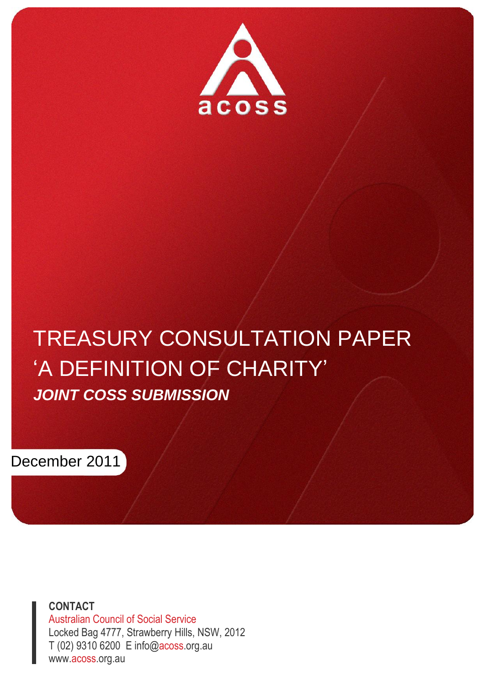

# TREASURY CONSULTATION PAPER 'A DEFINITION OF CHARITY' *JOINT COSS SUBMISSION*



**CONTACT** Australian Council of Social Service Locked Bag 4777, Strawberry Hills, NSW, 2012 T (02) 9310 6200 E info@acoss.org.au www.acoss.org.au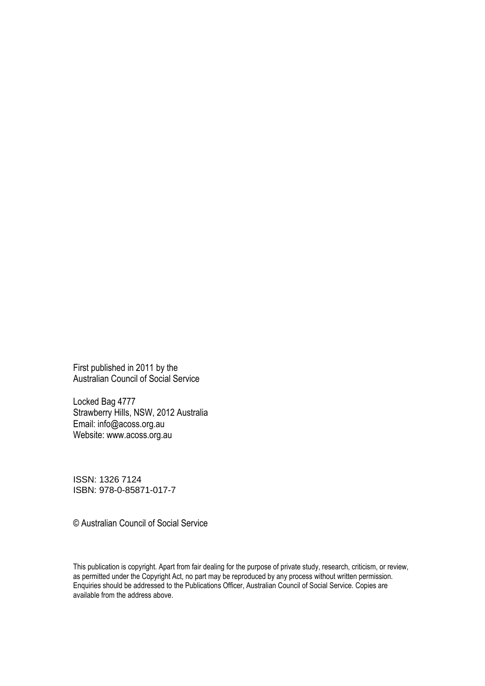First published in 2011 by the Australian Council of Social Service

Locked Bag 4777 Strawberry Hills, NSW, 2012 Australia Email: info@acoss.org.au Website: www.acoss.org.au

ISSN: 1326 7124 ISBN: 978-0-85871-017-7

© Australian Council of Social Service

This publication is copyright. Apart from fair dealing for the purpose of private study, research, criticism, or review, as permitted under the Copyright Act, no part may be reproduced by any process without written permission. Enquiries should be addressed to the Publications Officer, Australian Council of Social Service. Copies are available from the address above.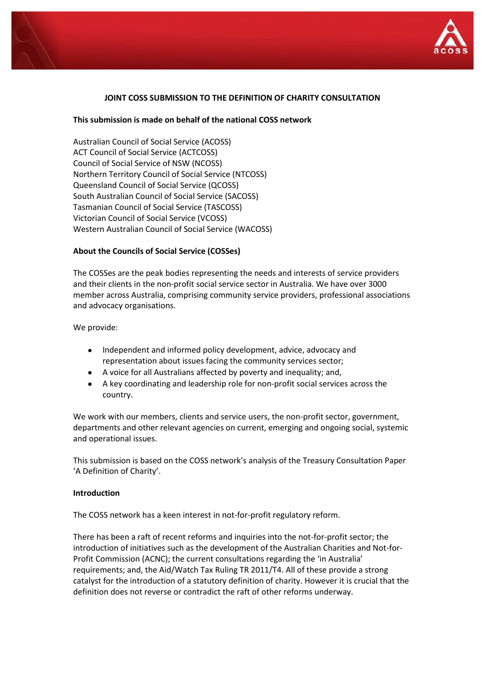

# **JOINT COSS SUBMISSION TO THE DEFINITION OF CHARITY CONSULTATION**

#### **This submission is made on behalf of the national COSS network**

Australian Council of Social Service (ACOSS) ACT Council of Social Service (ACTCOSS) Council of Social Service of NSW (NCOSS) Northern Territory Council of Social Service (NTCOSS) Queensland Council of Social Service (QCOSS) South Australian Council of Social Service (SACOSS) Tasmanian Council of Social Service (TASCOSS) Victorian Council of Social Service (VCOSS) Western Australian Council of Social Service (WACOSS)

#### **About the Councils of Social Service (COSSes)**

The COSSes are the peak bodies representing the needs and interests of service providers and their clients in the non-profit social service sector in Australia. We have over 3000 member across Australia, comprising community service providers, professional associations and advocacy organisations.

We provide:

- $\bullet$ Independent and informed policy development, advice, advocacy and representation about issues facing the community services sector;
- A voice for all Australians affected by poverty and inequality; and,
- A key coordinating and leadership role for non-profit social services across the country.

We work with our members, clients and service users, the non-profit sector, government, departments and other relevant agencies on current, emerging and ongoing social, systemic and operational issues.

This submission is based on the COSS network's analysis of the Treasury Consultation Paper 'A Definition of Charity'.

#### **Introduction**

The COSS network has a keen interest in not-for-profit regulatory reform.

There has been a raft of recent reforms and inquiries into the not-for-profit sector; the introduction of initiatives such as the development of the Australian Charities and Not-for-Profit Commission (ACNC); the current consultations regarding the 'in Australia' requirements; and, the Aid/Watch Tax Ruling TR 2011/T4. All of these provide a strong catalyst for the introduction of a statutory definition of charity. However it is crucial that the definition does not reverse or contradict the raft of other reforms underway.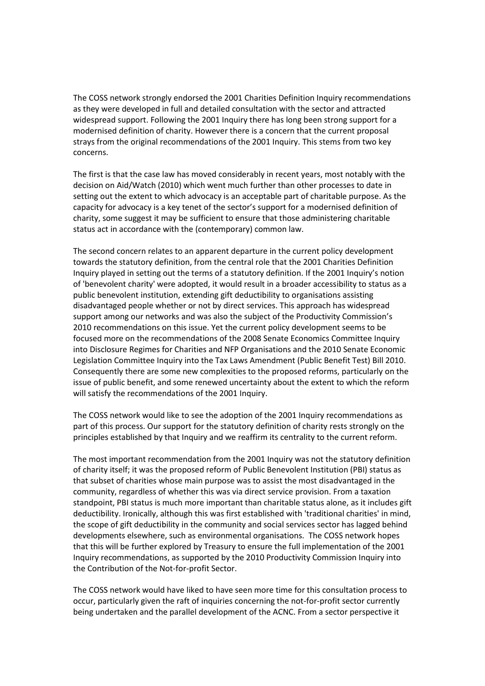The COSS network strongly endorsed the 2001 Charities Definition Inquiry recommendations as they were developed in full and detailed consultation with the sector and attracted widespread support. Following the 2001 Inquiry there has long been strong support for a modernised definition of charity. However there is a concern that the current proposal strays from the original recommendations of the 2001 Inquiry. This stems from two key concerns.

The first is that the case law has moved considerably in recent years, most notably with the decision on Aid/Watch (2010) which went much further than other processes to date in setting out the extent to which advocacy is an acceptable part of charitable purpose. As the capacity for advocacy is a key tenet of the sector's support for a modernised definition of charity, some suggest it may be sufficient to ensure that those administering charitable status act in accordance with the (contemporary) common law.

The second concern relates to an apparent departure in the current policy development towards the statutory definition, from the central role that the 2001 Charities Definition Inquiry played in setting out the terms of a statutory definition. If the 2001 Inquiry's notion of 'benevolent charity' were adopted, it would result in a broader accessibility to status as a public benevolent institution, extending gift deductibility to organisations assisting disadvantaged people whether or not by direct services. This approach has widespread support among our networks and was also the subject of the Productivity Commission's 2010 recommendations on this issue. Yet the current policy development seems to be focused more on the recommendations of the 2008 Senate Economics Committee Inquiry into Disclosure Regimes for Charities and NFP Organisations and the 2010 Senate Economic Legislation Committee Inquiry into the Tax Laws Amendment (Public Benefit Test) Bill 2010. Consequently there are some new complexities to the proposed reforms, particularly on the issue of public benefit, and some renewed uncertainty about the extent to which the reform will satisfy the recommendations of the 2001 Inquiry.

The COSS network would like to see the adoption of the 2001 Inquiry recommendations as part of this process. Our support for the statutory definition of charity rests strongly on the principles established by that Inquiry and we reaffirm its centrality to the current reform.

The most important recommendation from the 2001 Inquiry was not the statutory definition of charity itself; it was the proposed reform of Public Benevolent Institution (PBI) status as that subset of charities whose main purpose was to assist the most disadvantaged in the community, regardless of whether this was via direct service provision. From a taxation standpoint, PBI status is much more important than charitable status alone, as it includes gift deductibility. Ironically, although this was first established with 'traditional charities' in mind, the scope of gift deductibility in the community and social services sector has lagged behind developments elsewhere, such as environmental organisations. The COSS network hopes that this will be further explored by Treasury to ensure the full implementation of the 2001 Inquiry recommendations, as supported by the 2010 Productivity Commission Inquiry into the Contribution of the Not-for-profit Sector.

The COSS network would have liked to have seen more time for this consultation process to occur, particularly given the raft of inquiries concerning the not-for-profit sector currently being undertaken and the parallel development of the ACNC. From a sector perspective it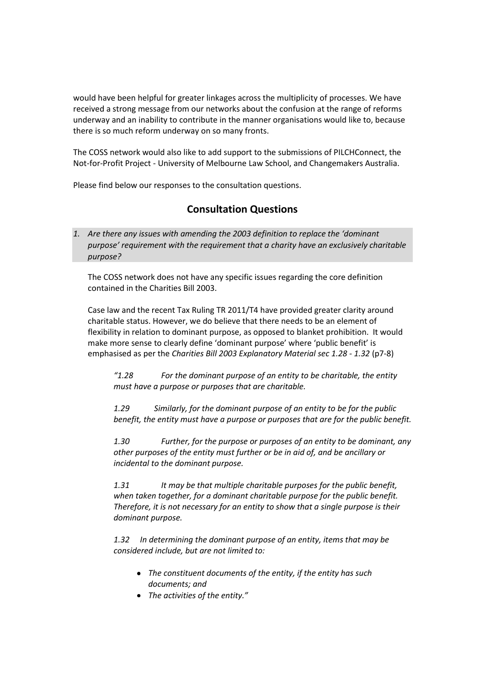would have been helpful for greater linkages across the multiplicity of processes. We have received a strong message from our networks about the confusion at the range of reforms underway and an inability to contribute in the manner organisations would like to, because there is so much reform underway on so many fronts.

The COSS network would also like to add support to the submissions of PILCHConnect, the Not-for-Profit Project - University of Melbourne Law School, and Changemakers Australia.

Please find below our responses to the consultation questions.

# **Consultation Questions**

*1. Are there any issues with amending the 2003 definition to replace the 'dominant purpose' requirement with the requirement that a charity have an exclusively charitable purpose?*

The COSS network does not have any specific issues regarding the core definition contained in the Charities Bill 2003.

Case law and the recent Tax Ruling TR 2011/T4 have provided greater clarity around charitable status. However, we do believe that there needs to be an element of flexibility in relation to dominant purpose, as opposed to blanket prohibition. It would make more sense to clearly define 'dominant purpose' where 'public benefit' is emphasised as per the *Charities Bill 2003 Explanatory Material sec 1.28 - 1.32* (p7-8)

*"1.28 For the dominant purpose of an entity to be charitable, the entity must have a purpose or purposes that are charitable.*

*1.29 Similarly, for the dominant purpose of an entity to be for the public benefit, the entity must have a purpose or purposes that are for the public benefit.*

*1.30 Further, for the purpose or purposes of an entity to be dominant, any other purposes of the entity must further or be in aid of, and be ancillary or incidental to the dominant purpose.*

*1.31 It may be that multiple charitable purposes for the public benefit, when taken together, for a dominant charitable purpose for the public benefit. Therefore, it is not necessary for an entity to show that a single purpose is their dominant purpose.*

*1.32 In determining the dominant purpose of an entity, items that may be considered include, but are not limited to:*

- *The constituent documents of the entity, if the entity has such documents; and*
- *The activities of the entity."*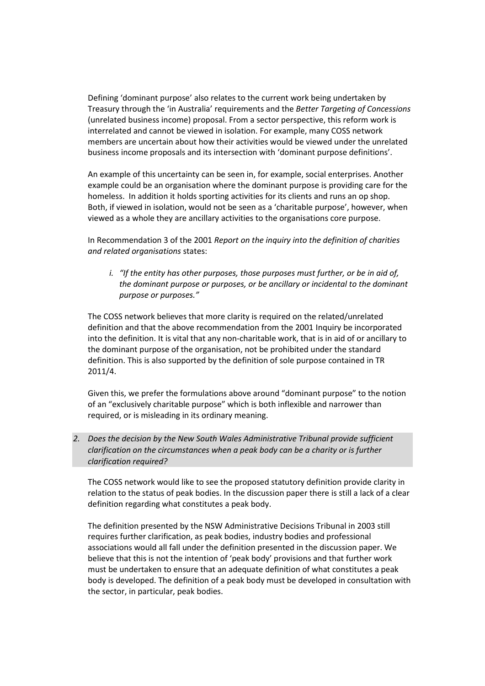Defining 'dominant purpose' also relates to the current work being undertaken by Treasury through the 'in Australia' requirements and the *Better Targeting of Concessions* (unrelated business income) proposal. From a sector perspective, this reform work is interrelated and cannot be viewed in isolation. For example, many COSS network members are uncertain about how their activities would be viewed under the unrelated business income proposals and its intersection with 'dominant purpose definitions'.

An example of this uncertainty can be seen in, for example, social enterprises. Another example could be an organisation where the dominant purpose is providing care for the homeless. In addition it holds sporting activities for its clients and runs an op shop. Both, if viewed in isolation, would not be seen as a 'charitable purpose', however, when viewed as a whole they are ancillary activities to the organisations core purpose.

In Recommendation 3 of the 2001 *Report on the inquiry into the definition of charities and related organisations* states:

*i. "If the entity has other purposes, those purposes must further, or be in aid of, the dominant purpose or purposes, or be ancillary or incidental to the dominant purpose or purposes."*

The COSS network believes that more clarity is required on the related/unrelated definition and that the above recommendation from the 2001 Inquiry be incorporated into the definition. It is vital that any non-charitable work, that is in aid of or ancillary to the dominant purpose of the organisation, not be prohibited under the standard definition. This is also supported by the definition of sole purpose contained in TR 2011/4.

Given this, we prefer the formulations above around "dominant purpose" to the notion of an "exclusively charitable purpose" which is both inflexible and narrower than required, or is misleading in its ordinary meaning.

*2. Does the decision by the New South Wales Administrative Tribunal provide sufficient clarification on the circumstances when a peak body can be a charity or is further clarification required?*

The COSS network would like to see the proposed statutory definition provide clarity in relation to the status of peak bodies. In the discussion paper there is still a lack of a clear definition regarding what constitutes a peak body.

The definition presented by the NSW Administrative Decisions Tribunal in 2003 still requires further clarification, as peak bodies, industry bodies and professional associations would all fall under the definition presented in the discussion paper. We believe that this is not the intention of 'peak body' provisions and that further work must be undertaken to ensure that an adequate definition of what constitutes a peak body is developed. The definition of a peak body must be developed in consultation with the sector, in particular, peak bodies.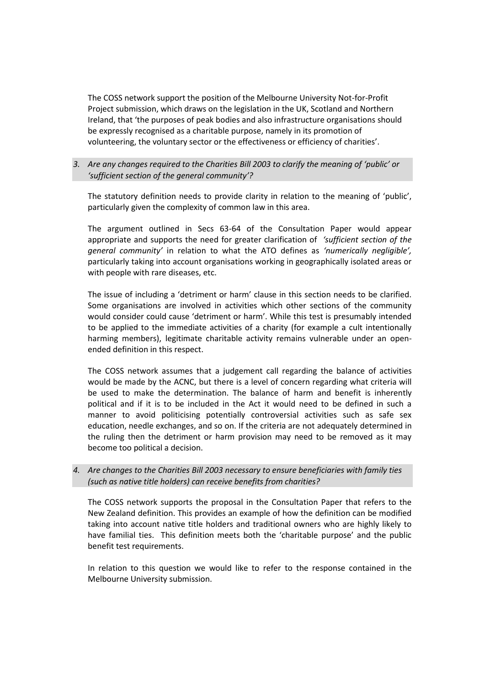The COSS network support the position of the Melbourne University Not-for-Profit Project submission, which draws on the legislation in the UK, Scotland and Northern Ireland, that 'the purposes of peak bodies and also infrastructure organisations should be expressly recognised as a charitable purpose, namely in its promotion of volunteering, the voluntary sector or the effectiveness or efficiency of charities'.

### *3. Are any changes required to the Charities Bill 2003 to clarify the meaning of 'public' or 'sufficient section of the general community'?*

The statutory definition needs to provide clarity in relation to the meaning of 'public', particularly given the complexity of common law in this area.

The argument outlined in Secs 63-64 of the Consultation Paper would appear appropriate and supports the need for greater clarification of *'sufficient section of the general community'* in relation to what the ATO defines as *'numerically negligible',*  particularly taking into account organisations working in geographically isolated areas or with people with rare diseases, etc.

The issue of including a 'detriment or harm' clause in this section needs to be clarified. Some organisations are involved in activities which other sections of the community would consider could cause 'detriment or harm'. While this test is presumably intended to be applied to the immediate activities of a charity (for example a cult intentionally harming members), legitimate charitable activity remains vulnerable under an openended definition in this respect.

The COSS network assumes that a judgement call regarding the balance of activities would be made by the ACNC, but there is a level of concern regarding what criteria will be used to make the determination. The balance of harm and benefit is inherently political and if it is to be included in the Act it would need to be defined in such a manner to avoid politicising potentially controversial activities such as safe sex education, needle exchanges, and so on. If the criteria are not adequately determined in the ruling then the detriment or harm provision may need to be removed as it may become too political a decision.

### *4. Are changes to the Charities Bill 2003 necessary to ensure beneficiaries with family ties (such as native title holders) can receive benefits from charities?*

The COSS network supports the proposal in the Consultation Paper that refers to the New Zealand definition. This provides an example of how the definition can be modified taking into account native title holders and traditional owners who are highly likely to have familial ties. This definition meets both the 'charitable purpose' and the public benefit test requirements.

In relation to this question we would like to refer to the response contained in the Melbourne University submission.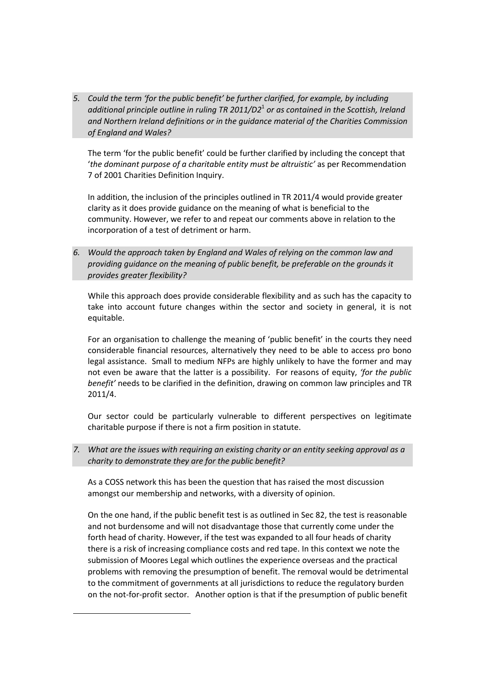*5. Could the term 'for the public benefit' be further clarified, for example, by including additional principle outline in ruling TR 2011/D2*<sup>1</sup> *or as contained in the Scottish, Ireland and Northern Ireland definitions or in the guidance material of the Charities Commission of England and Wales?*

The term 'for the public benefit' could be further clarified by including the concept that '*the dominant purpose of a charitable entity must be altruistic'* as per Recommendation 7 of 2001 Charities Definition Inquiry.

In addition, the inclusion of the principles outlined in TR 2011/4 would provide greater clarity as it does provide guidance on the meaning of what is beneficial to the community. However, we refer to and repeat our comments above in relation to the incorporation of a test of detriment or harm.

*6. Would the approach taken by England and Wales of relying on the common law and providing guidance on the meaning of public benefit, be preferable on the grounds it provides greater flexibility?*

While this approach does provide considerable flexibility and as such has the capacity to take into account future changes within the sector and society in general, it is not equitable.

For an organisation to challenge the meaning of 'public benefit' in the courts they need considerable financial resources, alternatively they need to be able to access pro bono legal assistance. Small to medium NFPs are highly unlikely to have the former and may not even be aware that the latter is a possibility. For reasons of equity, *'for the public benefit'* needs to be clarified in the definition, drawing on common law principles and TR 2011/4.

Our sector could be particularly vulnerable to different perspectives on legitimate charitable purpose if there is not a firm position in statute.

*7. What are the issues with requiring an existing charity or an entity seeking approval as a charity to demonstrate they are for the public benefit?* 

As a COSS network this has been the question that has raised the most discussion amongst our membership and networks, with a diversity of opinion.

On the one hand, if the public benefit test is as outlined in Sec 82, the test is reasonable and not burdensome and will not disadvantage those that currently come under the forth head of charity. However, if the test was expanded to all four heads of charity there is a risk of increasing compliance costs and red tape. In this context we note the submission of Moores Legal which outlines the experience overseas and the practical problems with removing the presumption of benefit. The removal would be detrimental to the commitment of governments at all jurisdictions to reduce the regulatory burden on the not-for-profit sector. Another option is that if the presumption of public benefit

 $\overline{a}$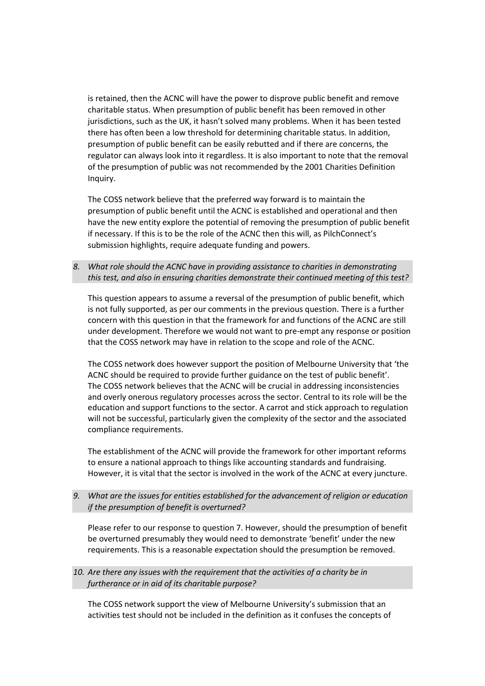is retained, then the ACNC will have the power to disprove public benefit and remove charitable status. When presumption of public benefit has been removed in other jurisdictions, such as the UK, it hasn't solved many problems. When it has been tested there has often been a low threshold for determining charitable status. In addition, presumption of public benefit can be easily rebutted and if there are concerns, the regulator can always look into it regardless. It is also important to note that the removal of the presumption of public was not recommended by the 2001 Charities Definition Inquiry.

The COSS network believe that the preferred way forward is to maintain the presumption of public benefit until the ACNC is established and operational and then have the new entity explore the potential of removing the presumption of public benefit if necessary. If this is to be the role of the ACNC then this will, as PilchConnect's submission highlights, require adequate funding and powers.

*8. What role should the ACNC have in providing assistance to charities in demonstrating this test, and also in ensuring charities demonstrate their continued meeting of this test?*

This question appears to assume a reversal of the presumption of public benefit, which is not fully supported, as per our comments in the previous question. There is a further concern with this question in that the framework for and functions of the ACNC are still under development. Therefore we would not want to pre-empt any response or position that the COSS network may have in relation to the scope and role of the ACNC.

The COSS network does however support the position of Melbourne University that 'the ACNC should be required to provide further guidance on the test of public benefit'. The COSS network believes that the ACNC will be crucial in addressing inconsistencies and overly onerous regulatory processes across the sector. Central to its role will be the education and support functions to the sector. A carrot and stick approach to regulation will not be successful, particularly given the complexity of the sector and the associated compliance requirements.

The establishment of the ACNC will provide the framework for other important reforms to ensure a national approach to things like accounting standards and fundraising. However, it is vital that the sector is involved in the work of the ACNC at every juncture.

*9. What are the issues for entities established for the advancement of religion or education if the presumption of benefit is overturned?*

Please refer to our response to question 7. However, should the presumption of benefit be overturned presumably they would need to demonstrate 'benefit' under the new requirements. This is a reasonable expectation should the presumption be removed.

### *10. Are there any issues with the requirement that the activities of a charity be in furtherance or in aid of its charitable purpose?*

The COSS network support the view of Melbourne University's submission that an activities test should not be included in the definition as it confuses the concepts of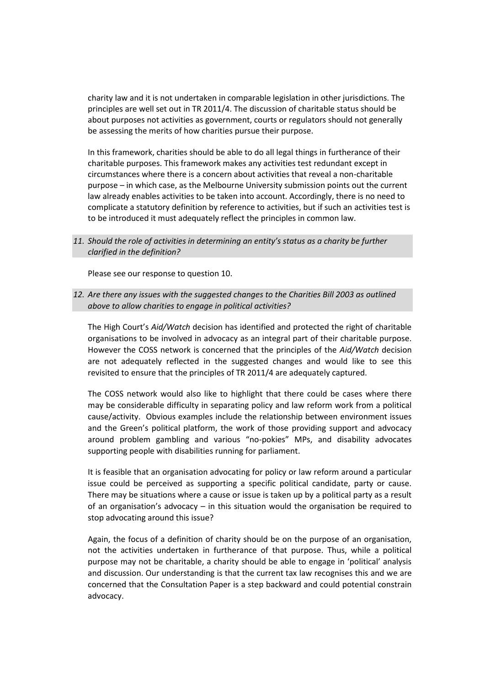charity law and it is not undertaken in comparable legislation in other jurisdictions. The principles are well set out in TR 2011/4. The discussion of charitable status should be about purposes not activities as government, courts or regulators should not generally be assessing the merits of how charities pursue their purpose.

In this framework, charities should be able to do all legal things in furtherance of their charitable purposes. This framework makes any activities test redundant except in circumstances where there is a concern about activities that reveal a non-charitable purpose – in which case, as the Melbourne University submission points out the current law already enables activities to be taken into account. Accordingly, there is no need to complicate a statutory definition by reference to activities, but if such an activities test is to be introduced it must adequately reflect the principles in common law.

## *11. Should the role of activities in determining an entity's status as a charity be further clarified in the definition?*

Please see our response to question 10.

# *12. Are there any issues with the suggested changes to the Charities Bill 2003 as outlined above to allow charities to engage in political activities?*

The High Court's *Aid/Watch* decision has identified and protected the right of charitable organisations to be involved in advocacy as an integral part of their charitable purpose. However the COSS network is concerned that the principles of the *Aid/Watch* decision are not adequately reflected in the suggested changes and would like to see this revisited to ensure that the principles of TR 2011/4 are adequately captured.

The COSS network would also like to highlight that there could be cases where there may be considerable difficulty in separating policy and law reform work from a political cause/activity. Obvious examples include the relationship between environment issues and the Green's political platform, the work of those providing support and advocacy around problem gambling and various "no-pokies" MPs, and disability advocates supporting people with disabilities running for parliament.

It is feasible that an organisation advocating for policy or law reform around a particular issue could be perceived as supporting a specific political candidate, party or cause. There may be situations where a cause or issue is taken up by a political party as a result of an organisation's advocacy – in this situation would the organisation be required to stop advocating around this issue?

Again, the focus of a definition of charity should be on the purpose of an organisation, not the activities undertaken in furtherance of that purpose. Thus, while a political purpose may not be charitable, a charity should be able to engage in 'political' analysis and discussion. Our understanding is that the current tax law recognises this and we are concerned that the Consultation Paper is a step backward and could potential constrain advocacy.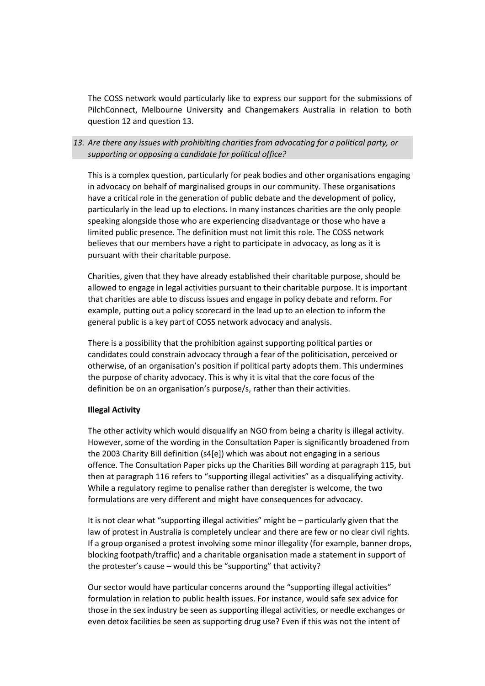The COSS network would particularly like to express our support for the submissions of PilchConnect, Melbourne University and Changemakers Australia in relation to both question 12 and question 13.

# *13. Are there any issues with prohibiting charities from advocating for a political party, or supporting or opposing a candidate for political office?*

This is a complex question, particularly for peak bodies and other organisations engaging in advocacy on behalf of marginalised groups in our community. These organisations have a critical role in the generation of public debate and the development of policy, particularly in the lead up to elections. In many instances charities are the only people speaking alongside those who are experiencing disadvantage or those who have a limited public presence. The definition must not limit this role. The COSS network believes that our members have a right to participate in advocacy, as long as it is pursuant with their charitable purpose.

Charities, given that they have already established their charitable purpose, should be allowed to engage in legal activities pursuant to their charitable purpose. It is important that charities are able to discuss issues and engage in policy debate and reform. For example, putting out a policy scorecard in the lead up to an election to inform the general public is a key part of COSS network advocacy and analysis.

There is a possibility that the prohibition against supporting political parties or candidates could constrain advocacy through a fear of the politicisation, perceived or otherwise, of an organisation's position if political party adopts them. This undermines the purpose of charity advocacy. This is why it is vital that the core focus of the definition be on an organisation's purpose/s, rather than their activities.

### **Illegal Activity**

The other activity which would disqualify an NGO from being a charity is illegal activity. However, some of the wording in the Consultation Paper is significantly broadened from the 2003 Charity Bill definition (s4[e]) which was about not engaging in a serious offence. The Consultation Paper picks up the Charities Bill wording at paragraph 115, but then at paragraph 116 refers to "supporting illegal activities" as a disqualifying activity. While a regulatory regime to penalise rather than deregister is welcome, the two formulations are very different and might have consequences for advocacy.

It is not clear what "supporting illegal activities" might be – particularly given that the law of protest in Australia is completely unclear and there are few or no clear civil rights. If a group organised a protest involving some minor illegality (for example, banner drops, blocking footpath/traffic) and a charitable organisation made a statement in support of the protester's cause – would this be "supporting" that activity?

Our sector would have particular concerns around the "supporting illegal activities" formulation in relation to public health issues. For instance, would safe sex advice for those in the sex industry be seen as supporting illegal activities, or needle exchanges or even detox facilities be seen as supporting drug use? Even if this was not the intent of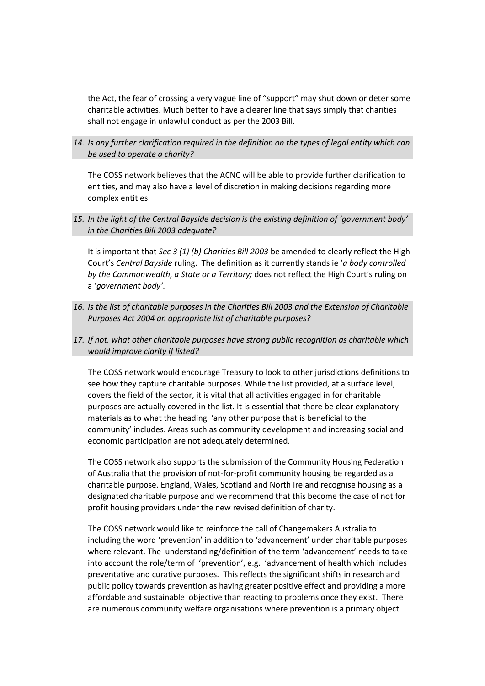the Act, the fear of crossing a very vague line of "support" may shut down or deter some charitable activities. Much better to have a clearer line that says simply that charities shall not engage in unlawful conduct as per the 2003 Bill.

*14. Is any further clarification required in the definition on the types of legal entity which can be used to operate a charity?* 

The COSS network believes that the ACNC will be able to provide further clarification to entities, and may also have a level of discretion in making decisions regarding more complex entities.

*15. In the light of the Central Bayside decision is the existing definition of 'government body' in the Charities Bill 2003 adequate?*

It is important that *Sec 3 (1) (b) Charities Bill 2003* be amended to clearly reflect the High Court's *Central Bayside* ruling. The definition as it currently stands ie '*a body controlled by the Commonwealth, a State or a Territory;* does not reflect the High Court's ruling on a '*government body'*.

- *16. Is the list of charitable purposes in the Charities Bill 2003 and the Extension of Charitable Purposes Act 2004 an appropriate list of charitable purposes?*
- *17. If not, what other charitable purposes have strong public recognition as charitable which would improve clarity if listed?*

The COSS network would encourage Treasury to look to other jurisdictions definitions to see how they capture charitable purposes. While the list provided, at a surface level, covers the field of the sector, it is vital that all activities engaged in for charitable purposes are actually covered in the list. It is essential that there be clear explanatory materials as to what the heading 'any other purpose that is beneficial to the community' includes. Areas such as community development and increasing social and economic participation are not adequately determined.

The COSS network also supports the submission of the Community Housing Federation of Australia that the provision of not-for-profit community housing be regarded as a charitable purpose. England, Wales, Scotland and North Ireland recognise housing as a designated charitable purpose and we recommend that this become the case of not for profit housing providers under the new revised definition of charity.

The COSS network would like to reinforce the call of Changemakers Australia to including the word 'prevention' in addition to 'advancement' under charitable purposes where relevant. The understanding/definition of the term 'advancement' needs to take into account the role/term of 'prevention', e.g. 'advancement of health which includes preventative and curative purposes. This reflects the significant shifts in research and public policy towards prevention as having greater positive effect and providing a more affordable and sustainable objective than reacting to problems once they exist. There are numerous community welfare organisations where prevention is a primary object